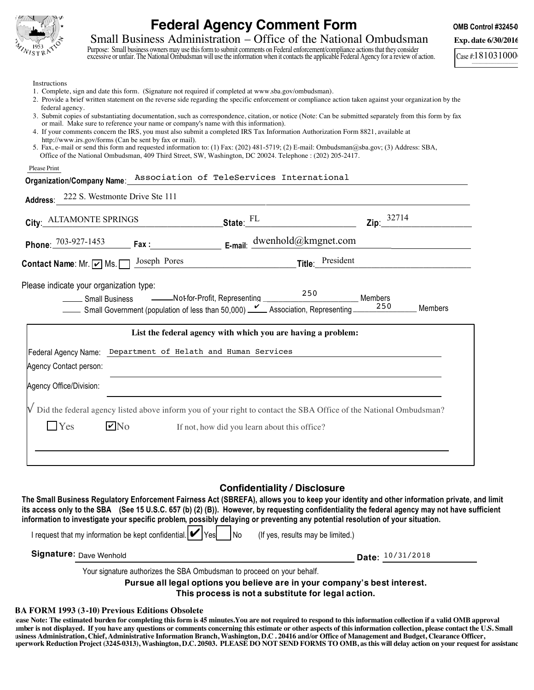

## **Federal Agency Comment Form COMB CONDUM CONB Control #3245-0**

Small Business Administration – Office of the National Ombudsman **Exp.** date 6/30/2016

Purpose: Small business owners may use this form to submit comments on Federal enforcement/compliance actions that they consider excessive or unfair. The National Ombudsman will use the information when it contacts the applicable Federal Agency for a review of action.

\_\_\_\_\_\_\_\_\_\_\_\_\_\_\_\_\_\_\_\_\_\_\_\_  $Case # 181031000$ 

Instructions

- 1. Complete, sign and date this form. (Signature not required if completed at www.sba.gov/ombudsman).
- 2. Provide a brief written statement on the reverse side regarding the specific enforcement or compliance action taken against your organization by the federal agency.
- 3. Submit copies of substantiating documentation, such as correspondence, citation, or notice (Note: Can be submitted separately from this form by fax or mail. Make sure to reference your name or company's name with this information).
- 4. If your comments concern the IRS, you must also submit a completed IRS Tax Information Authorization Form 8821, available at http://www.irs.gov/forms (Can be sent by fax or mail).
- 5. Fax, e-mail or send this form and requested information to: (1) Fax: (202) 481-5719; (2) E-mail: Ombudsman@sba.gov; (3) Address: SBA, Office of the National Ombudsman, 409 Third Street, SW, Washington, DC 20024. Telephone : (202) 205-2417.

Please Print

## **Organization/Company Name**: Association of TeleServices International

| Address: | 222 S. Westmonte Drive Ste 111 |
|----------|--------------------------------|
|----------|--------------------------------|

| City: ALTAMONTE SPRINGS                                                                                                                                                                     | State: FL                                                    | 32714<br>Zip:    |         |
|---------------------------------------------------------------------------------------------------------------------------------------------------------------------------------------------|--------------------------------------------------------------|------------------|---------|
| Phone: 703-927-1453 Fax: E-mail: dwenhold@kmgnet.com                                                                                                                                        |                                                              |                  |         |
| Joseph Pores<br><b>Contact Name:</b> Mr. $\boxed{\mathbf{v}}$ Ms. $\boxed{\phantom{0}}$                                                                                                     |                                                              | Title: President |         |
| Please indicate your organization type:                                                                                                                                                     |                                                              |                  | Members |
|                                                                                                                                                                                             | List the federal agency with which you are having a problem: |                  |         |
| Federal Agency Name: Department of Helath and Human Services<br>Agency Contact person:                                                                                                      |                                                              |                  |         |
| Agency Office/Division:<br>$\sqrt{\phantom{a}}$ Did the federal agency listed above inform you of your right to contact the SBA Office of the National Ombudsman?<br>Yes<br>$\mathbf{V}$ No |                                                              |                  |         |
|                                                                                                                                                                                             | If not, how did you learn about this office?                 |                  |         |

## **Confidentiality / Disclosure**

**The Small Business Regulatory Enforcement Fairness Act (SBREFA), allows you to keep your identity and other information private, and limit its access only to the SBA (See 15 U.S.C. 657 (b) (2) (B)). However, by requesting confidentiality the federal agency may not have sufficient information to investigate your specific problem, possibly delaying or preventing any potential resolution of your situation.** 

| I request that my information be kept confidential. $ V $ Yes<br><b>INo</b> | (If yes, results may be limited.) |  |
|-----------------------------------------------------------------------------|-----------------------------------|--|
| Signature: <sub>Dave</sub> Wenhold                                          | Date: 10/31/2018                  |  |
| Your signature authorizes the SBA Ombudsman to proceed on your behalf.      |                                   |  |

**Pursue all legal options you believe are in your company's best interest. This process is not a substitute for legal action.**

## **SBA FORM 1993 (3-10) Previous Editions Obsolete**

 **number is not displayed. If you have any questions or comments concerning this estimate or other aspects of this information collection, please contact the U.S. Small Please Note: The estimated burden for completing this form is 45 minutes.You are not required to respond to this information collection if a valid OMB approval Business Administration, Chief, Administrative Information Branch, Washington, D.C . 20416 and/or Office of Management and Budget, Clearance Officer, Paperwork Reduction Project (3245-0313), Washington, D.C. 20503. PLEASE DO NOT SEND FORMS TO OMB, as this will delay action on your request for assistance.**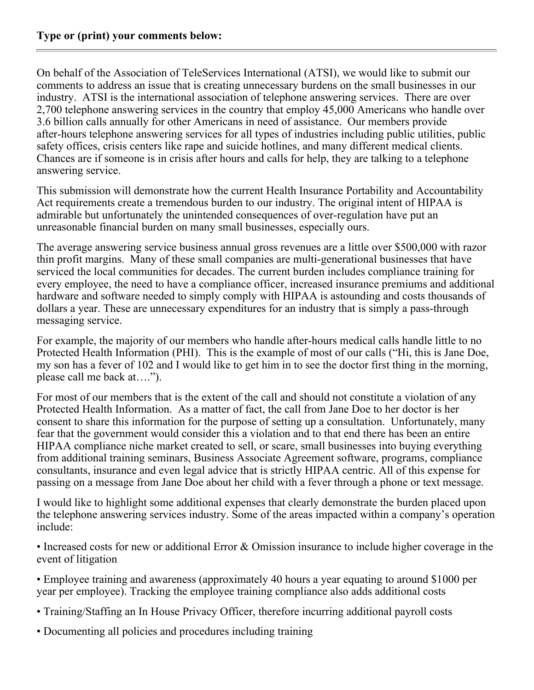On behalf of the Association of TeleServices International (ATSI), we would like to submit our comments to address an issue that is creating unnecessary burdens on the small businesses in our industry. ATSI is the international association of telephone answering services. There are over 2,700 telephone answering services in the country that employ 45,000 Americans who handle over 3.6 billion calls annually for other Americans in need of assistance. Our members provide after-hours telephone answering services for all types of industries including public utilities, public safety offices, crisis centers like rape and suicide hotlines, and many different medical clients. Chances are if someone is in crisis after hours and calls for help, they are talking to a telephone answering service.

This submission will demonstrate how the current Health Insurance Portability and Accountability Act requirements create a tremendous burden to our industry. The original intent of HIPAA is admirable but unfortunately the unintended consequences of over-regulation have put an unreasonable financial burden on many small businesses, especially ours.

The average answering service business annual gross revenues are a little over \$500,000 with razor thin profit margins. Many of these small companies are multi-generational businesses that have serviced the local communities for decades. The current burden includes compliance training for every employee, the need to have a compliance officer, increased insurance premiums and additional hardware and software needed to simply comply with HIPAA is astounding and costs thousands of dollars a year. These are unnecessary expenditures for an industry that is simply a pass-through messaging service.

For example, the majority of our members who handle after-hours medical calls handle little to no Protected Health Information (PHI). This is the example of most of our calls ("Hi, this is Jane Doe, my son has a fever of 102 and I would like to get him in to see the doctor first thing in the morning, please call me back at….").

For most of our members that is the extent of the call and should not constitute a violation of any Protected Health Information. As a matter of fact, the call from Jane Doe to her doctor is her consent to share this information for the purpose of setting up a consultation. Unfortunately, many fear that the government would consider this a violation and to that end there has been an entire HIPAA compliance niche market created to sell, or scare, small businesses into buying everything from additional training seminars, Business Associate Agreement software, programs, compliance consultants, insurance and even legal advice that is strictly HIPAA centric. All of this expense for passing on a message from Jane Doe about her child with a fever through a phone or text message.

I would like to highlight some additional expenses that clearly demonstrate the burden placed upon the telephone answering services industry. Some of the areas impacted within a company's operation include:

• Increased costs for new or additional Error & Omission insurance to include higher coverage in the event of litigation

• Employee training and awareness (approximately 40 hours a year equating to around \$1000 per year per employee). Tracking the employee training compliance also adds additional costs

- Training/Staffing an In House Privacy Officer, therefore incurring additional payroll costs
- Documenting all policies and procedures including training